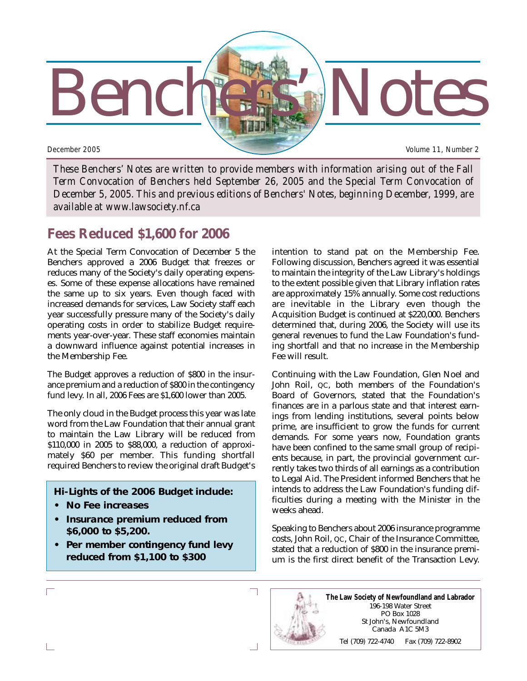

*These Benchers' Notes are written to provide members with information arising out of the Fall Term Convocation of Benchers held September 26, 2005 and the Special Term Convocation of December 5, 2005. This and previous editions of Benchers' Notes, beginning December, 1999, are available at www.lawsociety.nf.ca*

# **Fees Reduced \$1,600 for 2006**

At the Special Term Convocation of December 5 the Benchers approved a 2006 Budget that freezes or reduces many of the Society's daily operating expenses. Some of these expense allocations have remained the same up to six years. Even though faced with increased demands for services, Law Society staff each year successfully pressure many of the Society's daily operating costs in order to stabilize Budget requirements year-over-year. These staff economies maintain a downward influence against potential increases in the Membership Fee.

The Budget approves a reduction of \$800 in the insurance premium and a reduction of \$800 in the contingency fund levy. In all, 2006 Fees are \$1,600 lower than 2005.

The only cloud in the Budget process this year was late word from the Law Foundation that their annual grant to maintain the Law Library will be reduced from \$110,000 in 2005 to \$88,000, a reduction of approximately \$60 per member. This funding shortfall required Benchers to review the original draft Budget's

### **Hi-Lights of the 2006 Budget include:**

- **No Fee increases**
- **Insurance premium reduced from \$6,000 to \$5,200.**
- **Per member contingency fund levy reduced from \$1,100 to \$300**

intention to stand pat on the Membership Fee. Following discussion, Benchers agreed it was essential to maintain the integrity of the Law Library's holdings to the extent possible given that Library inflation rates are approximately 15% annually. Some cost reductions are inevitable in the Library even though the Acquisition Budget is continued at \$220,000. Benchers determined that, during 2006, the Society will use its general revenues to fund the Law Foundation's funding shortfall and that no increase in the Membership Fee will result.

Continuing with the Law Foundation, Glen Noel and John Roil, QC, both members of the Foundation's Board of Governors, stated that the Foundation's finances are in a parlous state and that interest earnings from lending institutions, several points below prime, are insufficient to grow the funds for current demands. For some years now, Foundation grants have been confined to the same small group of recipients because, in part, the provincial government currently takes two thirds of all earnings as a contribution to Legal Aid. The President informed Benchers that he intends to address the Law Foundation's funding difficulties during a meeting with the Minister in the weeks ahead.

Speaking to Benchers about 2006 insurance programme costs, John Roil, QC, Chair of the Insurance Committee, stated that a reduction of \$800 in the insurance premium is the first direct benefit of the Transaction Levy.

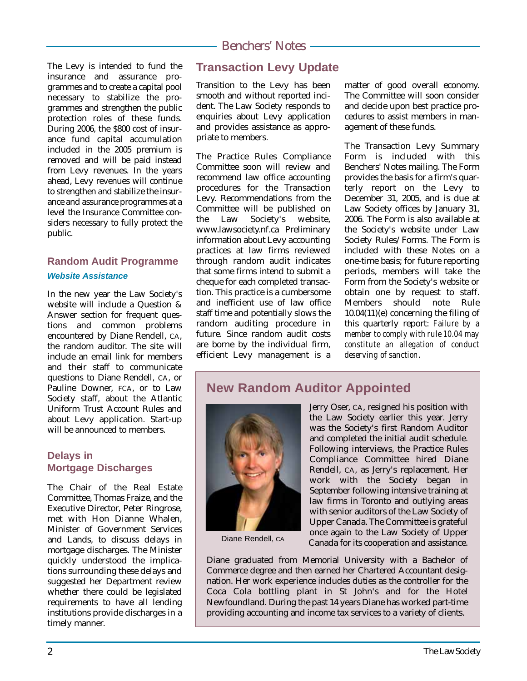The Levy is intended to fund the insurance and assurance programmes and to create a capital pool necessary to stabilize the programmes and strengthen the public protection roles of these funds. During 2006, the \$800 cost of insurance fund capital accumulation included in the 2005 premium is removed and will be paid instead from Levy revenues. In the years ahead, Levy revenues will continue to strengthen and stabilize the insurance and assurance programmes at a level the Insurance Committee considers necessary to fully protect the public.

## **Random Audit Programme** *Website Assistance*

In the new year the Law Society's website will include a Question & Answer section for frequent questions and common problems encountered by Diane Rendell, CA, the random auditor. The site will include an email link for members and their staff to communicate questions to Diane Rendell, CA, or Pauline Downer, FCA, or to Law Society staff, about the Atlantic Uniform Trust Account Rules and about Levy application. Start-up will be announced to members.

#### **Delays in Mortgage Discharges**

The Chair of the Real Estate Committee, Thomas Fraize, and the Executive Director, Peter Ringrose, met with Hon Dianne Whalen, Minister of Government Services and Lands, to discuss delays in mortgage discharges. The Minister quickly understood the implications surrounding these delays and suggested her Department review whether there could be legislated requirements to have all lending institutions provide discharges in a timely manner.

# **Transaction Levy Update**

Transition to the Levy has been smooth and without reported incident. The Law Society responds to enquiries about Levy application and provides assistance as appropriate to members.

The Practice Rules Compliance Committee soon will review and recommend law office accounting procedures for the Transaction Levy. Recommendations from the Committee will be published on the Law Society's website, www.lawsociety.nf.ca Preliminary information about Levy accounting practices at law firms reviewed through random audit indicates that some firms intend to submit a cheque for each completed transaction. This practice is a cumbersome and inefficient use of law office staff time and potentially slows the random auditing procedure in future. Since random audit costs are borne by the individual firm, efficient Levy management is a matter of good overall economy. The Committee will soon consider and decide upon best practice procedures to assist members in management of these funds.

The Transaction Levy Summary Form is included with this Benchers' Notes mailing. The Form provides the basis for a firm's quarterly report on the Levy to December 31, 2005, and is due at Law Society offices by January 31, 2006. The Form is also available at the Society's website under Law Society Rules/Forms. The Form is included with these Notes on a one-time basis; for future reporting periods, members will take the Form from the Society's website or obtain one by request to staff. Members should note Rule 10.04(11)(e) concerning the filing of this quarterly report: *Failure by a member to comply with rule 10.04 may constitute an allegation of conduct deserving of sanction*.

# **New Random Auditor Appointed**



Jerry Oser, CA, resigned his position with the Law Society earlier this year. Jerry was the Society's first Random Auditor and completed the initial audit schedule. Following interviews, the Practice Rules Compliance Committee hired Diane Rendell, CA, as Jerry's replacement. Her work with the Society began in September following intensive training at law firms in Toronto and outlying areas with senior auditors of the Law Society of Upper Canada. The Committee is grateful once again to the Law Society of Upper Canada for its cooperation and assistance.

Diane graduated from Memorial University with a Bachelor of Commerce degree and then earned her Chartered Accountant designation. Her work experience includes duties as the controller for the Coca Cola bottling plant in St John's and for the Hotel Newfoundland. During the past 14 years Diane has worked part-time providing accounting and income tax services to a variety of clients.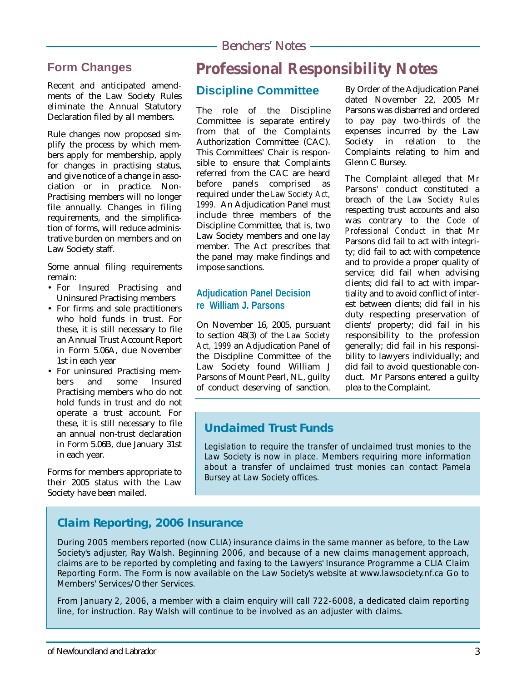# **Form Changes**

Recent and anticipated amendments of the Law Society Rules eliminate the Annual Statutory Declaration filed by all members.

Rule changes now proposed simplify the process by which members apply for membership, apply for changes in practising status, and give notice of a change in association or in practice. Non-Practising members will no longer file annually. Changes in filing requirements, and the simplification of forms, will reduce administrative burden on members and on Law Society staff.

Some annual filing requirements remain:

- For Insured Practising and Uninsured Practising members
- For firms and sole practitioners who hold funds in trust. For these, it is still necessary to file an Annual Trust Account Report in Form 5.06A, due November 1st in each year
- For uninsured Practising members and some Insured Practising members who do not hold funds in trust and do not operate a trust account. For these, it is still necessary to file an annual non-trust declaration in Form 5.06B, due January 31st in each year.

Forms for members appropriate to their 2005 status with the Law Society have been mailed.

# **Professional Responsibility Notes**

# **Discipline Committee**

The role of the Discipline Committee is separate entirely from that of the Complaints Authorization Committee (CAC). This Committees' Chair is responsible to ensure that Complaints referred from the CAC are heard before panels comprised as required under the *Law Society Act, 1999*. An Adjudication Panel must include three members of the Discipline Committee, that is, two Law Society members and one lay member. The Act prescribes that the panel may make findings and impose sanctions.

### **Adjudication Panel Decision re William J. Parsons**

On November 16, 2005, pursuant to section 48(3) of the *Law Society Act, 1999* an Adjudication Panel of the Discipline Committee of the Law Society found William J Parsons of Mount Pearl, NL, guilty of conduct deserving of sanction.

By Order of the Adjudication Panel dated November 22, 2005 Mr Parsons was disbarred and ordered to pay pay two-thirds of the expenses incurred by the Law Society in relation to the Complaints relating to him and Glenn C Bursey.

The Complaint alleged that Mr Parsons' conduct constituted a breach of the *Law Society Rules* respecting trust accounts and also was contrary to the *Code of Professional Conduct* in that Mr Parsons did fail to act with integrity; did fail to act with competence and to provide a proper quality of service; did fail when advising clients; did fail to act with impartiality and to avoid conflict of interest between clients; did fail in his duty respecting preservation of clients' property; did fail in his responsibility to the profession generally; did fail in his responsibility to lawyers individually; and did fail to avoid questionable conduct. Mr Parsons entered a guilty plea to the Complaint.

## **Unclaimed Trust Funds**

Legislation to require the transfer of unclaimed trust monies to the Law Society is now in place. Members requiring more information about a transfer of unclaimed trust monies can contact Pamela Bursey at Law Society offices.

# **Claim Reporting, 2006 Insurance**

During 2005 members reported (now CLIA) insurance claims in the same manner as before, to the Law Society's adjuster, Ray Walsh. Beginning 2006, and because of a new claims management approach, claims are to be reported by completing and faxing to the Lawyers' Insurance Programme a CLIA Claim Reporting Form. The Form is now available on the Law Society's website at www.lawsociety.nf.ca Go to Members' Services/Other Services.

From January 2, 2006, a member with a claim enquiry will call 722-6008, a dedicated claim reporting line, for instruction. Ray Walsh will continue to be involved as an adjuster with claims.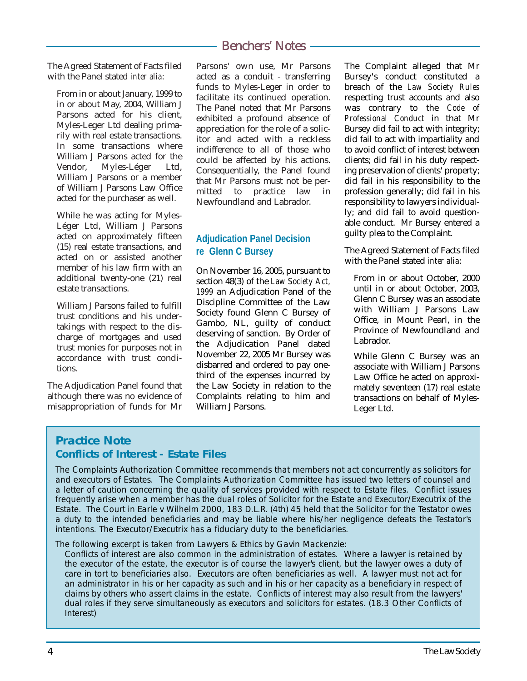The Agreed Statement of Facts filed with the Panel stated *inter alia*:

From in or about January, 1999 to in or about May, 2004, William J Parsons acted for his client, Myles-Leger Ltd dealing primarily with real estate transactions. In some transactions where William J Parsons acted for the<br>Vendor, Myles-Léger Ltd, Myles-Léger William J Parsons or a member of William J Parsons Law Office acted for the purchaser as well.

While he was acting for Myles-Léger Ltd, William J Parsons acted on approximately fifteen (15) real estate transactions, and acted on or assisted another member of his law firm with an additional twenty-one (21) real estate transactions.

William J Parsons failed to fulfill trust conditions and his undertakings with respect to the discharge of mortgages and used trust monies for purposes not in accordance with trust conditions.

The Adjudication Panel found that although there was no evidence of misappropriation of funds for Mr

Parsons' own use, Mr Parsons acted as a conduit - transferring funds to Myles-Leger in order to facilitate its continued operation. The Panel noted that Mr Parsons exhibited a profound absence of appreciation for the role of a solicitor and acted with a reckless indifference to all of those who could be affected by his actions. Consequentially, the Panel found that Mr Parsons must not be permitted to practice law in Newfoundland and Labrador.

### **Adjudication Panel Decision re Glenn C Bursey**

On November 16, 2005, pursuant to section 48(3) of the *Law Society Act, 1999* an Adjudication Panel of the Discipline Committee of the Law Society found Glenn C Bursey of Gambo, NL, guilty of conduct deserving of sanction. By Order of the Adjudication Panel dated November 22, 2005 Mr Bursey was disbarred and ordered to pay onethird of the expenses incurred by the Law Society in relation to the Complaints relating to him and William J Parsons.

The Complaint alleged that Mr Bursey's conduct constituted a breach of the *Law Society Rules* respecting trust accounts and also was contrary to the *Code of Professional Conduct* in that Mr Bursey did fail to act with integrity; did fail to act with impartiality and to avoid conflict of interest between clients; did fail in his duty respecting preservation of clients' property; did fail in his responsibility to the profession generally; did fail in his responsibility to lawyers individually; and did fail to avoid questionable conduct. Mr Bursey entered a guilty plea to the Complaint.

The Agreed Statement of Facts filed with the Panel stated *inter alia*:

From in or about October, 2000 until in or about October, 2003, Glenn C Bursey was an associate with William J Parsons Law Office, in Mount Pearl, in the Province of Newfoundland and Labrador.

While Glenn C Bursey was an associate with William J Parsons Law Office he acted on approximately seventeen (17) real estate transactions on behalf of Myles-Leger Ltd.

## **Practice Note Conflicts of Interest - Estate Files**

The Complaints Authorization Committee recommends that members not act concurrently as solicitors for and executors of Estates. The Complaints Authorization Committee has issued two letters of counsel and a letter of caution concerning the quality of services provided with respect to Estate files. Conflict issues frequently arise when a member has the dual roles of Solicitor for the Estate and Executor/Executrix of the Estate. The Court in Earle v Wilhelm 2000, 183 D.L.R. (4th) 45 held that the Solicitor for the Testator owes a duty to the intended beneficiaries and may be liable where his/her negligence defeats the Testator's intentions. The Executor/Executrix has a fiduciary duty to the beneficiaries.

The following excerpt is taken from Lawyers & Ethics by Gavin Mackenzie:

Conflicts of interest are also common in the administration of estates. Where a lawyer is retained by the executor of the estate, the executor is of course the lawyer's client, but the lawyer owes a duty of care in tort to beneficiaries also. Executors are often beneficiaries as well. A lawyer must not act for an administrator in his or her capacity as such and in his or her capacity as a beneficiary in respect of claims by others who assert claims in the estate. Conflicts of interest may also result from the lawyers' dual roles if they serve simultaneously as executors and solicitors for estates. (18.3 Other Conflicts of Interest)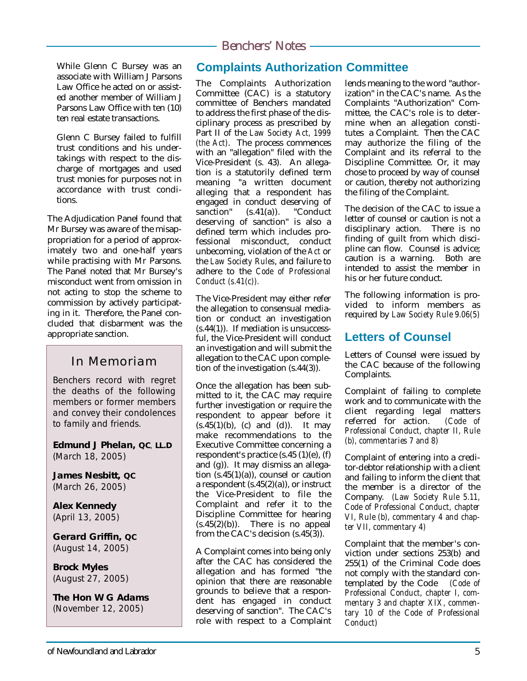While Glenn C Bursey was an associate with William J Parsons Law Office he acted on or assisted another member of William J Parsons Law Office with ten (10) ten real estate transactions.

Glenn C Bursey failed to fulfill trust conditions and his undertakings with respect to the discharge of mortgages and used trust monies for purposes not in accordance with trust conditions.

The Adjudication Panel found that Mr Bursey was aware of the misappropriation for a period of approximately two and one-half years while practising with Mr Parsons. The Panel noted that Mr Bursey's misconduct went from omission in not acting to stop the scheme to commission by actively participating in it. Therefore, the Panel concluded that disbarment was the appropriate sanction.

# In Memoriam

Benchers record with regret the deaths of the following members or former members and convey their condolences to family and friends.

**Edmund J Phelan, QC**, **LL.D** (March 18, 2005)

**James Nesbitt, QC** (March 26, 2005)

**Alex Kennedy** (April 13, 2005)

**Gerard Griffin, QC** (August 14, 2005)

**Brock Myles** (August 27, 2005)

**The Hon W G Adams** (November 12, 2005)

# **Complaints Authorization Committee**

The Complaints Authorization Committee (CAC) is a statutory committee of Benchers mandated to address the first phase of the disciplinary process as prescribed by Part II of the *Law Society Act, 1999 (the Act)*. The process commences with an "allegation" filed with the Vice-President (s. 43). An allegation is a statutorily defined term meaning "a written document alleging that a respondent has engaged in conduct deserving of<br>sanction" (s.41(a)). "Conduct  $(s.41(a))$ . deserving of sanction" is also a defined term which includes professional misconduct, conduct unbecoming, violation of the *Act* or the *Law Society Rules*, and failure to adhere to the *Code of Professional Conduct (s.41(c)).*

The Vice-President may either refer the allegation to consensual mediation or conduct an investigation (s.44(1)). If mediation is unsuccessful, the Vice-President will conduct an investigation and will submit the allegation to the CAC upon completion of the investigation (s.44(3)).

Once the allegation has been submitted to it, the CAC may require further investigation or require the respondent to appear before it  $(s.45(1)(b)$ , (c) and (d)). It may make recommendations to the Executive Committee concerning a respondent's practice (s.45 (1)(e), (f) and (g)). It may dismiss an allegation (s.45(1)(a)), counsel or caution a respondent (s.45(2)(a)), or instruct the Vice-President to file the Complaint and refer it to the Discipline Committee for hearing  $(s.45(2)(b))$ . There is no appeal from the CAC's decision (s.45(3)).

A Complaint comes into being only after the CAC has considered the allegation and has formed "the opinion that there are reasonable grounds to believe that a respondent has engaged in conduct deserving of sanction". The CAC's role with respect to a Complaint

lends meaning to the word "authorization" in the CAC's name. As the Complaints "Authorization" Committee, the CAC's role is to determine when an allegation constitutes a Complaint. Then the CAC may authorize the filing of the Complaint and its referral to the Discipline Committee. Or, it may chose to proceed by way of counsel or caution, thereby not authorizing the filing of the Complaint.

The decision of the CAC to issue a letter of counsel or caution is not a disciplinary action. There is no finding of guilt from which discipline can flow. Counsel is advice; caution is a warning. Both are intended to assist the member in his or her future conduct.

The following information is provided to inform members as required by *Law Society Rule 9.06(5)*

# **Letters of Counsel**

Letters of Counsel were issued by the CAC because of the following Complaints.

Complaint of failing to complete work and to communicate with the client regarding legal matters<br>referred for action. (Code of referred for action. *Professional Conduct, chapter II, Rule (b), commentaries 7 and 8)*

Complaint of entering into a creditor-debtor relationship with a client and failing to inform the client that the member is a director of the Company. *(Law Society Rule 5.11, Code of Professional Conduct, chapter VI, Rule (b), commentary 4 and chapter VII, commentary 4)*

Complaint that the member's conviction under sections 253(b) and 255(1) of the Criminal Code does not comply with the standard contemplated by the Code *(Code of Professional Conduct, chapter I, commentary 3 and chapter XIX, commentary 10 of the Code of Professional Conduct)*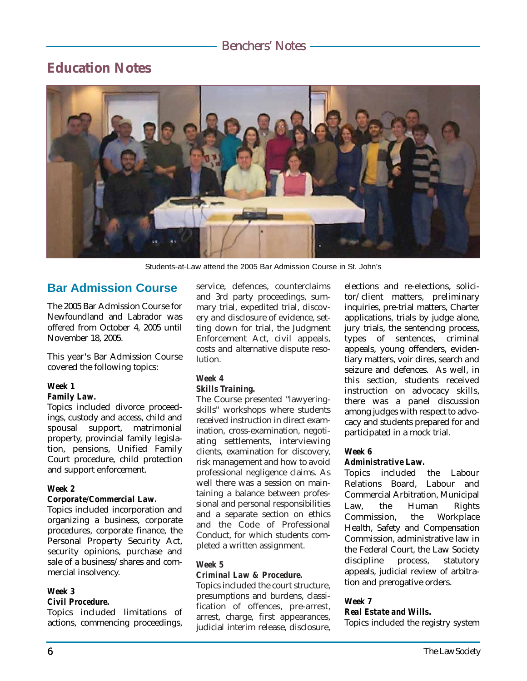# **Education Notes**



Students-at-Law attend the 2005 Bar Admission Course in St. John's

## **Bar Admission Course**

The 2005 Bar Admission Course for Newfoundland and Labrador was offered from October 4, 2005 until November 18, 2005.

This year's Bar Admission Course covered the following topics:

#### *Week 1*

#### *Family Law.*

Topics included divorce proceedings, custody and access, child and spousal support, matrimonial property, provincial family legislation, pensions, Unified Family Court procedure, child protection and support enforcement.

#### *Week 2*

#### *Corporate/Commercial Law.*

Topics included incorporation and organizing a business, corporate procedures, corporate finance, the Personal Property Security Act, security opinions, purchase and sale of a business/shares and commercial insolvency.

#### *Week 3*

#### *Civil Procedure.*

Topics included limitations of actions, commencing proceedings, service, defences, counterclaims and 3rd party proceedings, summary trial, expedited trial, discovery and disclosure of evidence, setting down for trial, the Judgment Enforcement Act, civil appeals, costs and alternative dispute resolution.

#### *Week 4*

#### *Skills Training.*

The Course presented "lawyeringskills" workshops where students received instruction in direct examination, cross-examination, negotiating settlements, interviewing clients, examination for discovery, risk management and how to avoid professional negligence claims. As well there was a session on maintaining a balance between professional and personal responsibilities and a separate section on ethics and the Code of Professional Conduct, for which students completed a written assignment.

#### *Week 5*

#### *Criminal Law & Procedure.*

Topics included the court structure, presumptions and burdens, classification of offences, pre-arrest, arrest, charge, first appearances, judicial interim release, disclosure, elections and re-elections, solicitor/client matters, preliminary inquiries, pre-trial matters, Charter applications, trials by judge alone, jury trials, the sentencing process, types of sentences, criminal appeals, young offenders, evidentiary matters, voir dires, search and seizure and defences. As well, in this section, students received instruction on advocacy skills, there was a panel discussion among judges with respect to advocacy and students prepared for and participated in a mock trial.

#### *Week 6*

#### *Administrative Law.*

Topics included the Labour Relations Board, Labour and Commercial Arbitration, Municipal Law, the Human Rights Commission, the Workplace Health, Safety and Compensation Commission, administrative law in the Federal Court, the Law Society discipline process, statutory appeals, judicial review of arbitration and prerogative orders.

#### *Week 7*

*Real Estate and Wills.* Topics included the registry system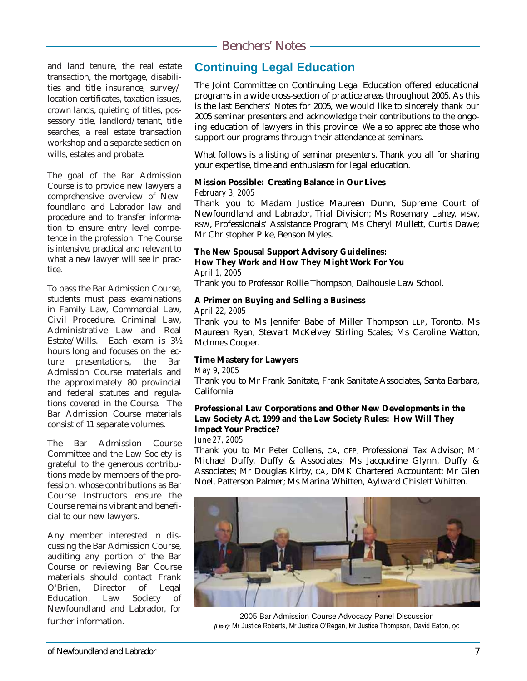and land tenure, the real estate transaction, the mortgage, disabilities and title insurance, survey/ location certificates, taxation issues, crown lands, quieting of titles, possessory title, landlord/tenant, title searches, a real estate transaction workshop and a separate section on wills, estates and probate.

The goal of the Bar Admission Course is to provide new lawyers a comprehensive overview of Newfoundland and Labrador law and procedure and to transfer information to ensure entry level competence in the profession. The Course is intensive, practical and relevant to what a new lawyer will see in practice.

To pass the Bar Admission Course, students must pass examinations in Family Law, Commercial Law, Civil Procedure, Criminal Law, Administrative Law and Real Estate/Wills. Each exam is 3½ hours long and focuses on the lecture presentations, the Bar Admission Course materials and the approximately 80 provincial and federal statutes and regulations covered in the Course. The Bar Admission Course materials consist of 11 separate volumes.

The Bar Admission Course Committee and the Law Society is grateful to the generous contributions made by members of the profession, whose contributions as Bar Course Instructors ensure the Course remains vibrant and beneficial to our new lawyers.

Any member interested in discussing the Bar Admission Course, auditing any portion of the Bar Course or reviewing Bar Course materials should contact Frank O'Brien, Director of Legal Education, Law Society of Newfoundland and Labrador, for

## further information.

# **Continuing Legal Education**

The Joint Committee on Continuing Legal Education offered educational programs in a wide cross-section of practice areas throughout 2005. As this is the last Benchers' Notes for 2005, we would like to sincerely thank our 2005 seminar presenters and acknowledge their contributions to the ongoing education of lawyers in this province. We also appreciate those who support our programs through their attendance at seminars.

What follows is a listing of seminar presenters. Thank you all for sharing your expertise, time and enthusiasm for legal education.

#### **Mission Possible: Creating Balance in Our Lives** *February 3, 2005*

Thank you to Madam Justice Maureen Dunn, Supreme Court of Newfoundland and Labrador, Trial Division; Ms Rosemary Lahey, MSW, RSW, Professionals' Assistance Program; Ms Cheryl Mullett, Curtis Dawe; Mr Christopher Pike, Benson Myles.

#### **The New Spousal Support Advisory Guidelines: How They Work and How They Might Work For You**

*April 1, 2005*

Thank you to Professor Rollie Thompson, Dalhousie Law School.

#### **A Primer on Buying and Selling a Business**

#### *April 22, 2005*

Thank you to Ms Jennifer Babe of Miller Thompson LLP, Toronto, Ms Maureen Ryan, Stewart McKelvey Stirling Scales; Ms Caroline Watton, McInnes Cooper.

#### **Time Mastery for Lawyers**

#### *May 9, 2005*

Thank you to Mr Frank Sanitate, Frank Sanitate Associates, Santa Barbara, California.

#### **Professional Law Corporations and Other New Developments in the Law Society Act, 1999 and the Law Society Rules: How Will They Impact Your Practice?**

#### *June 27, 2005*

Thank you to Mr Peter Collens, CA, CFP, Professional Tax Advisor; Mr Michael Duffy, Duffy & Associates; Ms Jacqueline Glynn, Duffy & Associates; Mr Douglas Kirby, CA, DMK Chartered Accountant; Mr Glen Noel, Patterson Palmer; Ms Marina Whitten, Aylward Chislett Whitten.



2005 Bar Admission Course Advocacy Panel Discussion *(l to r):* Mr Justice Roberts, Mr Justice O'Regan, Mr Justice Thompson, David Eaton, QC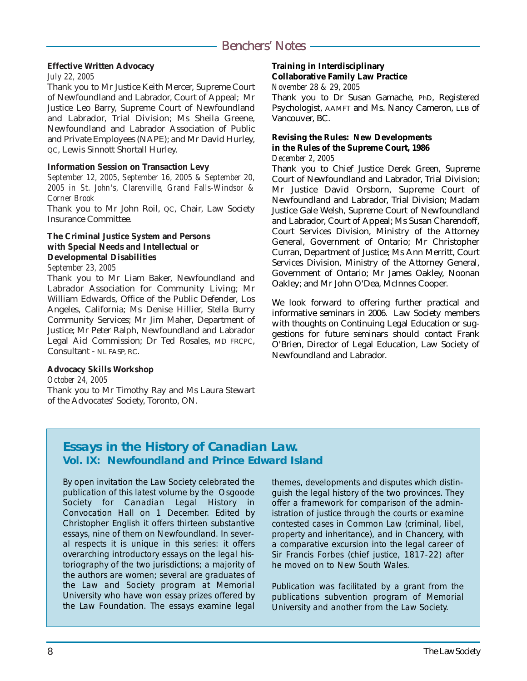#### **Effective Written Advocacy**

#### *July 22, 2005*

Thank you to Mr Justice Keith Mercer, Supreme Court of Newfoundland and Labrador, Court of Appeal; Mr Justice Leo Barry, Supreme Court of Newfoundland and Labrador, Trial Division; Ms Sheila Greene, Newfoundland and Labrador Association of Public and Private Employees (NAPE); and Mr David Hurley, QC, Lewis Sinnott Shortall Hurley.

#### **Information Session on Transaction Levy**

*September 12, 2005, September 16, 2005 & September 20, 2005 in St. John's, Clarenville, Grand Falls-Windsor & Corner Brook*

Thank you to Mr John Roil, QC, Chair, Law Society Insurance Committee.

#### **The Criminal Justice System and Persons with Special Needs and Intellectual or Developmental Disabilities**

#### *September 23, 2005*

Thank you to Mr Liam Baker, Newfoundland and Labrador Association for Community Living; Mr William Edwards, Office of the Public Defender, Los Angeles, California; Ms Denise Hillier, Stella Burry Community Services; Mr Jim Maher, Department of Justice; Mr Peter Ralph, Newfoundland and Labrador Legal Aid Commission; Dr Ted Rosales, MD FRCPC, Consultant - NL FASP, RC.

#### **Advocacy Skills Workshop**

*October 24, 2005* Thank you to Mr Timothy Ray and Ms Laura Stewart of the Advocates' Society, Toronto, ON.

#### **Training in Interdisciplinary Collaborative Family Law Practice**

*November 28 & 29, 2005*

Thank you to Dr Susan Gamache, PhD, Registered Psychologist, AAMFT and Ms. Nancy Cameron, LLB of Vancouver, BC.

### **Revising the Rules: New Developments in the Rules of the Supreme Court, 1986**

#### *December 2, 2005*

Thank you to Chief Justice Derek Green, Supreme Court of Newfoundland and Labrador, Trial Division; Mr Justice David Orsborn, Supreme Court of Newfoundland and Labrador, Trial Division; Madam Justice Gale Welsh, Supreme Court of Newfoundland and Labrador, Court of Appeal; Ms Susan Charendoff, Court Services Division, Ministry of the Attorney General, Government of Ontario; Mr Christopher Curran, Department of Justice; Ms Ann Merritt, Court Services Division, Ministry of the Attorney General, Government of Ontario; Mr James Oakley, Noonan Oakley; and Mr John O'Dea, McInnes Cooper.

We look forward to offering further practical and informative seminars in 2006. Law Society members with thoughts on Continuing Legal Education or suggestions for future seminars should contact Frank O'Brien, Director of Legal Education, Law Society of Newfoundland and Labrador.

# **Essays in the History of Canadian Law. Vol. IX: Newfoundland and Prince Edward Island**

By open invitation the Law Society celebrated the publication of this latest volume by the Osgoode Society for Canadian Legal History in Convocation Hall on 1 December. Edited by Christopher English it offers thirteen substantive essays, nine of them on Newfoundland. In several respects it is unique in this series: it offers overarching introductory essays on the legal historiography of the two jurisdictions; a majority of the authors are women; several are graduates of the Law and Society program at Memorial University who have won essay prizes offered by the Law Foundation. The essays examine legal

themes, developments and disputes which distinguish the legal history of the two provinces. They offer a framework for comparison of the administration of justice through the courts or examine contested cases in Common Law (criminal, libel, property and inheritance), and in Chancery, with a comparative excursion into the legal career of Sir Francis Forbes (chief justice, 1817-22) after he moved on to New South Wales.

Publication was facilitated by a grant from the publications subvention program of Memorial University and another from the Law Society.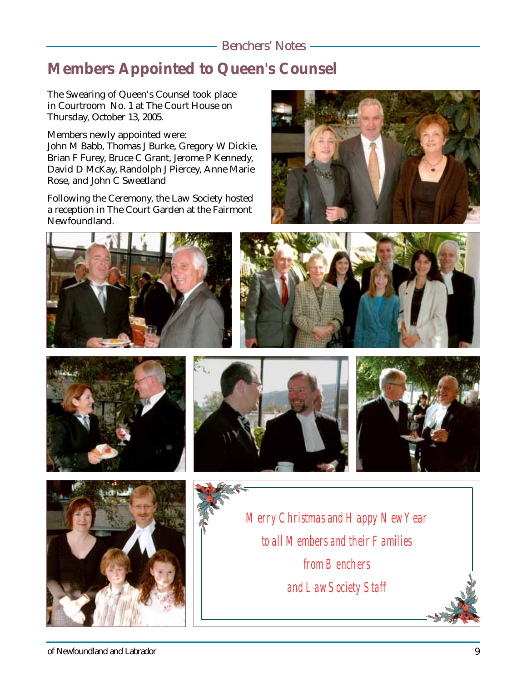# **Members Appointed to Queen's Counsel**

The Swearing of Queen's Counsel took place in Courtroom No. 1 at The Court House on Thursday, October 13, 2005.

Members newly appointed were:

John M Babb, Thomas J Burke, Gregory W Dickie, Brian F Furey, Bruce C Grant, Jerome P Kennedy, David D McKay, Randolph J Piercey, Anne Marie Rose, and John C Sweetland

Following the Ceremony, the Law Society hosted a reception in The Court Garden at the Fairmont Newfoundland.















*Merry Christmas and Happy New Year to all Members and their Families from Benchers and Law Society Staff*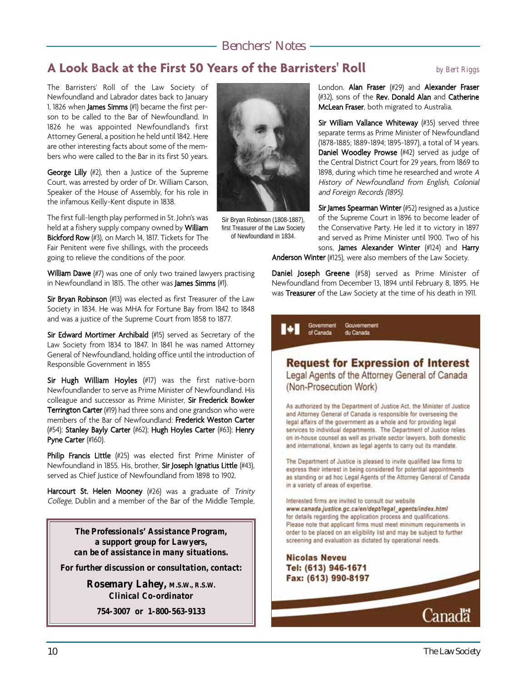# **A Look Back at the First 50 Years of the Barristers' Roll** *by Bert Riggs*

The Barristers' Roll of the Law Society of Newfoundland and Labrador dates back to January 1, 1826 when **James Simms** (#1) became the first person to be called to the Bar of Newfoundland. In 1826 he was appointed Newfoundland's first Attorney General, a position he held until 1842. Here are other interesting facts about some of the members who were called to the Bar in its first 50 years.

George Lilly (#2), then a Justice of the Supreme Court, was arrested by order of Dr. William Carson, Speaker of the House of Assembly, for his role in the infamous Keilly-Kent dispute in 1838.

The first full-length play performed in St. John's was held at a fishery supply company owned by William Bickford Row (#3), on March 14, 1817. Tickets for The Fair Penitent were five shillings, with the proceeds going to relieve the conditions of the poor.

William Dawe (#7) was one of only two trained lawyers practising in Newfoundland in 1815. The other was James Simms (#1).

Sir Bryan Robinson (#13) was elected as first Treasurer of the Law Society in 1834. He was MHA for Fortune Bay from 1842 to 1848 and was a justice of the Supreme Court from 1858 to 1877.

Sir Edward Mortimer Archibald (#15) served as Secretary of the Law Society from 1834 to 1847. In 1841 he was named Attorney General of Newfoundland, holding office until the introduction of Responsible Government in 1855

Sir Hugh William Hoyles (#17) was the first native-born Newfoundlander to serve as Prime Minister of Newfoundland. His colleague and successor as Prime Minister, Sir Frederick Bowker **Terrington Carter** (#19) had three sons and one grandson who were members of the Bar of Newfoundland: Frederick Weston Carter (#54); Stanley Bayly Carter (#62); Hugh Hoyles Carter (#63); Henry Pyne Carter (#160).

Philip Francis Little (#25) was elected first Prime Minister of Newfoundland in 1855. His, brother, Sir Joseph Ignatius Little (#43), served as Chief Justice of Newfoundland from 1898 to 1902.

Harcourt St. Helen Mooney (#26) was a graduate of Trinity College, Dublin and a member of the Bar of the Middle Temple,

> *The Professionals' Assistance Program, a support group for Lawyers, can be of assistance in many situations.*

*For further discussion or consultation, contact:*

*Rosemary Lahey, M.S.W., R.S.W. Clinical Co-ordinator*

*754-3007 or 1-800-563-9133*



Sir Bryan Robinson (1808-1887), first Treasurer of the Law Society of Newfoundland in 1834.

London. Alan Fraser (#29) and Alexander Fraser (#32), sons of the Rev. Donald Alan and Catherine McLean Fraser, both migrated to Australia.

Sir William Vallance Whiteway (#35) served three separate terms as Prime Minister of Newfoundland (1878-1885; 1889-1894; 1895-1897), a total of 14 years. Daniel Woodley Prowse (#42) served as judge of the Central District Court for 29 years, from 1869 to 1898, during which time he researched and wrote <sup>A</sup> History of Newfoundland from English, Colonial and Foreign Records (1895).

Sir James Spearman Winter (#52) resigned as a Justice of the Supreme Court in 1896 to become leader of the Conservative Party. He led it to victory in 1897 and served as Prime Minister until 1900. Two of his sons, James Alexander Winter (#124) and Harry

Anderson Winter (#125), were also members of the Law Society.

Daniel Joseph Greene (#58) served as Prime Minister of Newfoundland from December 13, 1894 until February 8, 1895. He was Treasurer of the Law Society at the time of his death in 1911.

> Government Gouvernement of Canada du Canada

## **Request for Expression of Interest** Legal Agents of the Attorney General of Canada

(Non-Prosecution Work)

As authorized by the Department of Justice Act, the Minister of Justice and Attorney General of Canada is responsible for overseeing the legal affairs of the government as a whole and for providing legal services to individual departments. The Department of Justice relies on in-house counsel as well as private sector lawyers, both domestic and international, known as legal agents to carry out its mandate.

The Department of Justice is pleased to invite qualified law firms to express their interest in being considered for potential appointments as standing or ad hoc Legal Agents of the Attorney General of Canada in a variety of areas of expertise.

Interested firms are invited to consult our website www.canada.justice.gc.ca/en/dept/legal\_agents/index.html for details regarding the application process and qualifications. Please note that applicant firms must meet minimum requirements in order to be placed on an eligibility list and may be subject to further screening and evaluation as dictated by operational needs.

**Nicolas Neveu** Tel: (613) 946-1671 Fax: (613) 990-8197

10 The Law Society

**Canada**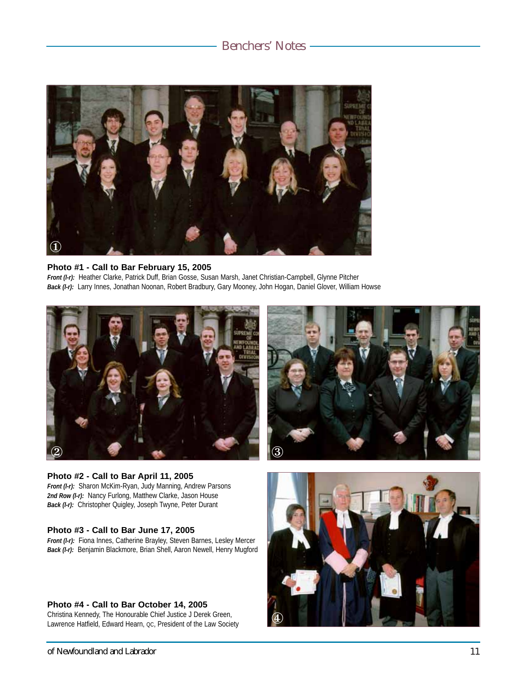

#### **Photo #1 - Call to Bar February 15, 2005**

*Front (l-r):* Heather Clarke, Patrick Duff, Brian Gosse, Susan Marsh, Janet Christian-Campbell, Glynne Pitcher *Back (l-r):* Larry Innes, Jonathan Noonan, Robert Bradbury, Gary Mooney, John Hogan, Daniel Glover, William Howse





#### **Photo #2 - Call to Bar April 11, 2005** *Front (l-r):* Sharon McKim-Ryan, Judy Manning, Andrew Parsons *2nd Row (l-r):* Nancy Furlong, Matthew Clarke, Jason House *Back (l-r):* Christopher Quigley, Joseph Twyne, Peter Durant

#### **Photo #3 - Call to Bar June 17, 2005**

*Front (l-r):* Fiona Innes, Catherine Brayley, Steven Barnes, Lesley Mercer *Back (l-r):* Benjamin Blackmore, Brian Shell, Aaron Newell, Henry Mugford

#### **Photo #4 - Call to Bar October 14, 2005**

Christina Kennedy, The Honourable Chief Justice J Derek Green, Lawrence Hatfield, Edward Hearn, oc, President of the Law Society